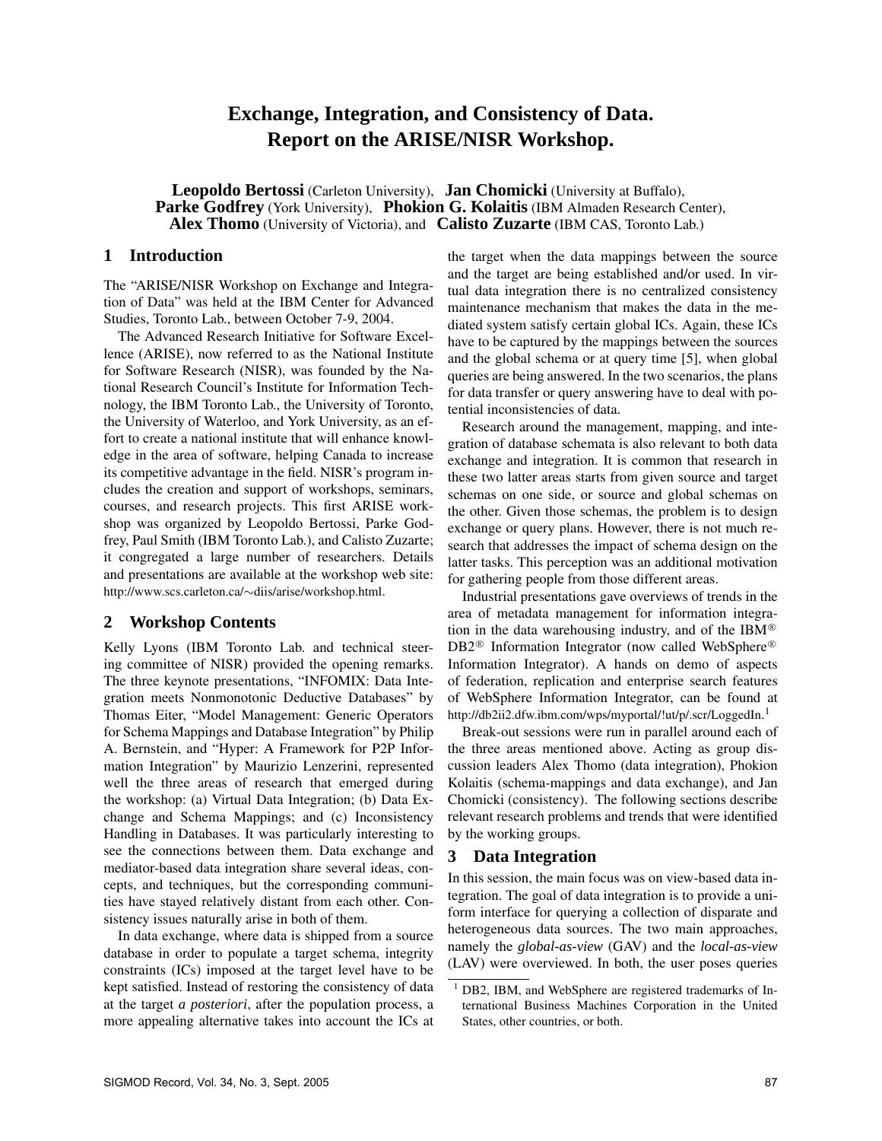# **Exchange, Integration, and Consistency of Data. Report on the ARISE/NISR Workshop.**

**Leopoldo Bertossi** (Carleton University), **Jan Chomicki** (University at Buffalo), **Parke Godfrey** (York University), **Phokion G. Kolaitis** (IBM Almaden Research Center), **Alex Thomo** (University of Victoria), and **Calisto Zuzarte** (IBM CAS, Toronto Lab.)

#### **1 Introduction**

The "ARISE/NISR Workshop on Exchange and Integration of Data" was held at the IBM Center for Advanced Studies, Toronto Lab., between October 7-9, 2004.

The Advanced Research Initiative for Software Excellence (ARISE), now referred to as the National Institute for Software Research (NISR), was founded by the National Research Council's Institute for Information Technology, the IBM Toronto Lab., the University of Toronto, the University of Waterloo, and York University, as an effort to create a national institute that will enhance knowledge in the area of software, helping Canada to increase its competitive advantage in the field. NISR's program includes the creation and support of workshops, seminars, courses, and research projects. This first ARISE workshop was organized by Leopoldo Bertossi, Parke Godfrey, Paul Smith (IBM Toronto Lab.), and Calisto Zuzarte; it congregated a large number of researchers. Details and presentations are available at the workshop web site: http://www.scs.carleton.ca/∼diis/arise/workshop.html.

#### **2 Workshop Contents**

Kelly Lyons (IBM Toronto Lab. and technical steering committee of NISR) provided the opening remarks. The three keynote presentations, "INFOMIX: Data Integration meets Nonmonotonic Deductive Databases" by Thomas Eiter, "Model Management: Generic Operators for Schema Mappings and Database Integration" by Philip A. Bernstein, and "Hyper: A Framework for P2P Information Integration" by Maurizio Lenzerini, represented well the three areas of research that emerged during the workshop: (a) Virtual Data Integration; (b) Data Exchange and Schema Mappings; and (c) Inconsistency Handling in Databases. It was particularly interesting to see the connections between them. Data exchange and mediator-based data integration share several ideas, concepts, and techniques, but the corresponding communities have stayed relatively distant from each other. Consistency issues naturally arise in both of them.

In data exchange, where data is shipped from a source database in order to populate a target schema, integrity constraints (ICs) imposed at the target level have to be kept satisfied. Instead of restoring the consistency of data at the target *a posteriori*, after the population process, a more appealing alternative takes into account the ICs at the target when the data mappings between the source and the target are being established and/or used. In virtual data integration there is no centralized consistency maintenance mechanism that makes the data in the mediated system satisfy certain global ICs. Again, these ICs have to be captured by the mappings between the sources and the global schema or at query time [5], when global queries are being answered. In the two scenarios, the plans for data transfer or query answering have to deal with potential inconsistencies of data.

Research around the management, mapping, and integration of database schemata is also relevant to both data exchange and integration. It is common that research in these two latter areas starts from given source and target schemas on one side, or source and global schemas on the other. Given those schemas, the problem is to design exchange or query plans. However, there is not much research that addresses the impact of schema design on the latter tasks. This perception was an additional motivation for gathering people from those different areas.

Industrial presentations gave overviews of trends in the area of metadata management for information integration in the data warehousing industry, and of the IBM $\textcircled{B}$ DB2<sup>®</sup> Information Integrator (now called WebSphere<sup>®</sup> Information Integrator). A hands on demo of aspects of federation, replication and enterprise search features of WebSphere Information Integrator, can be found at http://db2ii2.dfw.ibm.com/wps/myportal/!ut/p/.scr/LoggedIn.<sup>1</sup>

Break-out sessions were run in parallel around each of the three areas mentioned above. Acting as group discussion leaders Alex Thomo (data integration), Phokion Kolaitis (schema-mappings and data exchange), and Jan Chomicki (consistency). The following sections describe relevant research problems and trends that were identified by the working groups.

#### **3 Data Integration**

In this session, the main focus was on view-based data integration. The goal of data integration is to provide a uniform interface for querying a collection of disparate and heterogeneous data sources. The two main approaches, namely the *global-as-view* (GAV) and the *local-as-view* (LAV) were overviewed. In both, the user poses queries

 $1$  DB2, IBM, and WebSphere are registered trademarks of International Business Machines Corporation in the United States, other countries, or both.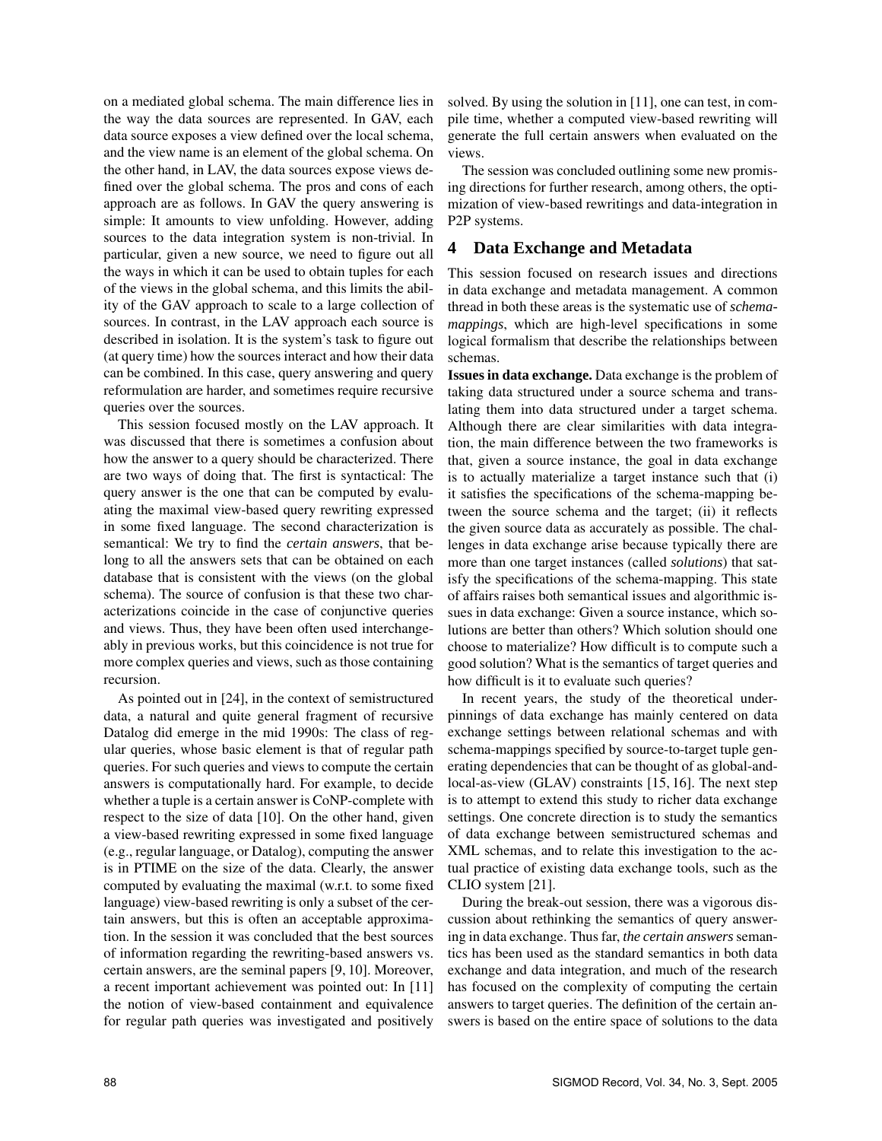on a mediated global schema. The main difference lies in the way the data sources are represented. In GAV, each data source exposes a view defined over the local schema, and the view name is an element of the global schema. On the other hand, in LAV, the data sources expose views defined over the global schema. The pros and cons of each approach are as follows. In GAV the query answering is simple: It amounts to view unfolding. However, adding sources to the data integration system is non-trivial. In particular, given a new source, we need to figure out all the ways in which it can be used to obtain tuples for each of the views in the global schema, and this limits the ability of the GAV approach to scale to a large collection of sources. In contrast, in the LAV approach each source is described in isolation. It is the system's task to figure out (at query time) how the sources interact and how their data can be combined. In this case, query answering and query reformulation are harder, and sometimes require recursive queries over the sources.

This session focused mostly on the LAV approach. It was discussed that there is sometimes a confusion about how the answer to a query should be characterized. There are two ways of doing that. The first is syntactical: The query answer is the one that can be computed by evaluating the maximal view-based query rewriting expressed in some fixed language. The second characterization is semantical: We try to find the *certain answers*, that belong to all the answers sets that can be obtained on each database that is consistent with the views (on the global schema). The source of confusion is that these two characterizations coincide in the case of conjunctive queries and views. Thus, they have been often used interchangeably in previous works, but this coincidence is not true for more complex queries and views, such as those containing recursion.

As pointed out in [24], in the context of semistructured data, a natural and quite general fragment of recursive Datalog did emerge in the mid 1990s: The class of regular queries, whose basic element is that of regular path queries. For such queries and views to compute the certain answers is computationally hard. For example, to decide whether a tuple is a certain answer is CoNP-complete with respect to the size of data [10]. On the other hand, given a view-based rewriting expressed in some fixed language (e.g., regular language, or Datalog), computing the answer is in PTIME on the size of the data. Clearly, the answer computed by evaluating the maximal (w.r.t. to some fixed language) view-based rewriting is only a subset of the certain answers, but this is often an acceptable approximation. In the session it was concluded that the best sources of information regarding the rewriting-based answers vs. certain answers, are the seminal papers [9, 10]. Moreover, a recent important achievement was pointed out: In [11] the notion of view-based containment and equivalence for regular path queries was investigated and positively solved. By using the solution in [11], one can test, in compile time, whether a computed view-based rewriting will generate the full certain answers when evaluated on the views.

The session was concluded outlining some new promising directions for further research, among others, the optimization of view-based rewritings and data-integration in P2P systems.

### **4 Data Exchange and Metadata**

This session focused on research issues and directions in data exchange and metadata management. A common thread in both these areas is the systematic use of *schemamappings*, which are high-level specifications in some logical formalism that describe the relationships between schemas.

**Issues in data exchange.** Data exchange is the problem of taking data structured under a source schema and translating them into data structured under a target schema. Although there are clear similarities with data integration, the main difference between the two frameworks is that, given a source instance, the goal in data exchange is to actually materialize a target instance such that (i) it satisfies the specifications of the schema-mapping between the source schema and the target; (ii) it reflects the given source data as accurately as possible. The challenges in data exchange arise because typically there are more than one target instances (called *solutions*) that satisfy the specifications of the schema-mapping. This state of affairs raises both semantical issues and algorithmic issues in data exchange: Given a source instance, which solutions are better than others? Which solution should one choose to materialize? How difficult is to compute such a good solution? What is the semantics of target queries and how difficult is it to evaluate such queries?

In recent years, the study of the theoretical underpinnings of data exchange has mainly centered on data exchange settings between relational schemas and with schema-mappings specified by source-to-target tuple generating dependencies that can be thought of as global-andlocal-as-view (GLAV) constraints [15, 16]. The next step is to attempt to extend this study to richer data exchange settings. One concrete direction is to study the semantics of data exchange between semistructured schemas and XML schemas, and to relate this investigation to the actual practice of existing data exchange tools, such as the CLIO system [21].

During the break-out session, there was a vigorous discussion about rethinking the semantics of query answering in data exchange. Thus far, *the certain answers* semantics has been used as the standard semantics in both data exchange and data integration, and much of the research has focused on the complexity of computing the certain answers to target queries. The definition of the certain answers is based on the entire space of solutions to the data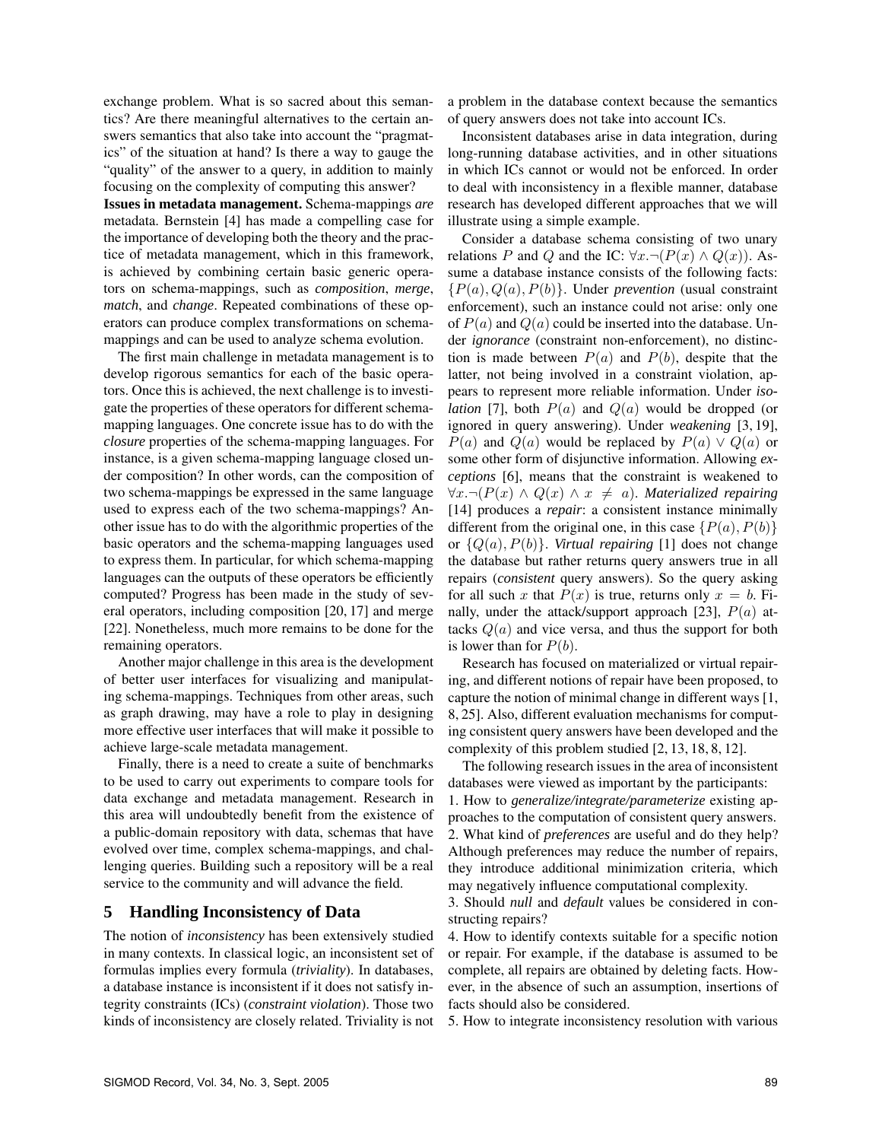exchange problem. What is so sacred about this semantics? Are there meaningful alternatives to the certain answers semantics that also take into account the "pragmatics" of the situation at hand? Is there a way to gauge the "quality" of the answer to a query, in addition to mainly focusing on the complexity of computing this answer?

**Issues in metadata management.** Schema-mappings *are* metadata. Bernstein [4] has made a compelling case for the importance of developing both the theory and the practice of metadata management, which in this framework, is achieved by combining certain basic generic operators on schema-mappings, such as *composition*, *merge*, *match*, and *change*. Repeated combinations of these operators can produce complex transformations on schemamappings and can be used to analyze schema evolution.

The first main challenge in metadata management is to develop rigorous semantics for each of the basic operators. Once this is achieved, the next challenge is to investigate the properties of these operators for different schemamapping languages. One concrete issue has to do with the *closure* properties of the schema-mapping languages. For instance, is a given schema-mapping language closed under composition? In other words, can the composition of two schema-mappings be expressed in the same language used to express each of the two schema-mappings? Another issue has to do with the algorithmic properties of the basic operators and the schema-mapping languages used to express them. In particular, for which schema-mapping languages can the outputs of these operators be efficiently computed? Progress has been made in the study of several operators, including composition [20, 17] and merge [22]. Nonetheless, much more remains to be done for the remaining operators.

Another major challenge in this area is the development of better user interfaces for visualizing and manipulating schema-mappings. Techniques from other areas, such as graph drawing, may have a role to play in designing more effective user interfaces that will make it possible to achieve large-scale metadata management.

Finally, there is a need to create a suite of benchmarks to be used to carry out experiments to compare tools for data exchange and metadata management. Research in this area will undoubtedly benefit from the existence of a public-domain repository with data, schemas that have evolved over time, complex schema-mappings, and challenging queries. Building such a repository will be a real service to the community and will advance the field.

#### **5 Handling Inconsistency of Data**

The notion of *inconsistency* has been extensively studied in many contexts. In classical logic, an inconsistent set of formulas implies every formula (*triviality*). In databases, a database instance is inconsistent if it does not satisfy integrity constraints (ICs) (*constraint violation*). Those two kinds of inconsistency are closely related. Triviality is not a problem in the database context because the semantics of query answers does not take into account ICs.

Inconsistent databases arise in data integration, during long-running database activities, and in other situations in which ICs cannot or would not be enforced. In order to deal with inconsistency in a flexible manner, database research has developed different approaches that we will illustrate using a simple example.

Consider a database schema consisting of two unary relations *P* and *Q* and the IC:  $\forall x. \neg (P(x) \land Q(x))$ . Assume a database instance consists of the following facts:  ${P(a), Q(a), P(b)}$ . Under *prevention* (usual constraint enforcement), such an instance could not arise: only one of  $P(a)$  and  $Q(a)$  could be inserted into the database. Under *ignorance* (constraint non-enforcement), no distinction is made between  $P(a)$  and  $P(b)$ , despite that the latter, not being involved in a constraint violation, appears to represent more reliable information. Under *isolation* [7], both  $P(a)$  and  $Q(a)$  would be dropped (or ignored in query answering). Under *weakening* [3, 19], *P*(*a*) and *Q*(*a*) would be replaced by *P*(*a*) ∨ *Q*(*a*) or some other form of disjunctive information. Allowing *exceptions* [6], means that the constraint is weakened to ∀*x.*¬(*P*(*x*) ∧ *Q*(*x*) ∧ *x* = *a*). *Materialized repairing* [14] produces a *repair*: a consistent instance minimally different from the original one, in this case  $\{P(a), P(b)\}$ or  $\{Q(a), P(b)\}$ . *Virtual repairing* [1] does not change the database but rather returns query answers true in all repairs (*consistent* query answers). So the query asking for all such x that  $P(x)$  is true, returns only  $x = b$ . Finally, under the attack/support approach [23],  $P(a)$  attacks  $Q(a)$  and vice versa, and thus the support for both is lower than for  $P(b)$ .

Research has focused on materialized or virtual repairing, and different notions of repair have been proposed, to capture the notion of minimal change in different ways [1, 8, 25]. Also, different evaluation mechanisms for computing consistent query answers have been developed and the complexity of this problem studied [2, 13, 18, 8, 12].

The following research issues in the area of inconsistent databases were viewed as important by the participants: 1. How to *generalize/integrate/parameterize* existing approaches to the computation of consistent query answers. 2. What kind of *preferences* are useful and do they help? Although preferences may reduce the number of repairs, they introduce additional minimization criteria, which may negatively influence computational complexity.

3. Should *null* and *default* values be considered in constructing repairs?

4. How to identify contexts suitable for a specific notion or repair. For example, if the database is assumed to be complete, all repairs are obtained by deleting facts. However, in the absence of such an assumption, insertions of facts should also be considered.

5. How to integrate inconsistency resolution with various